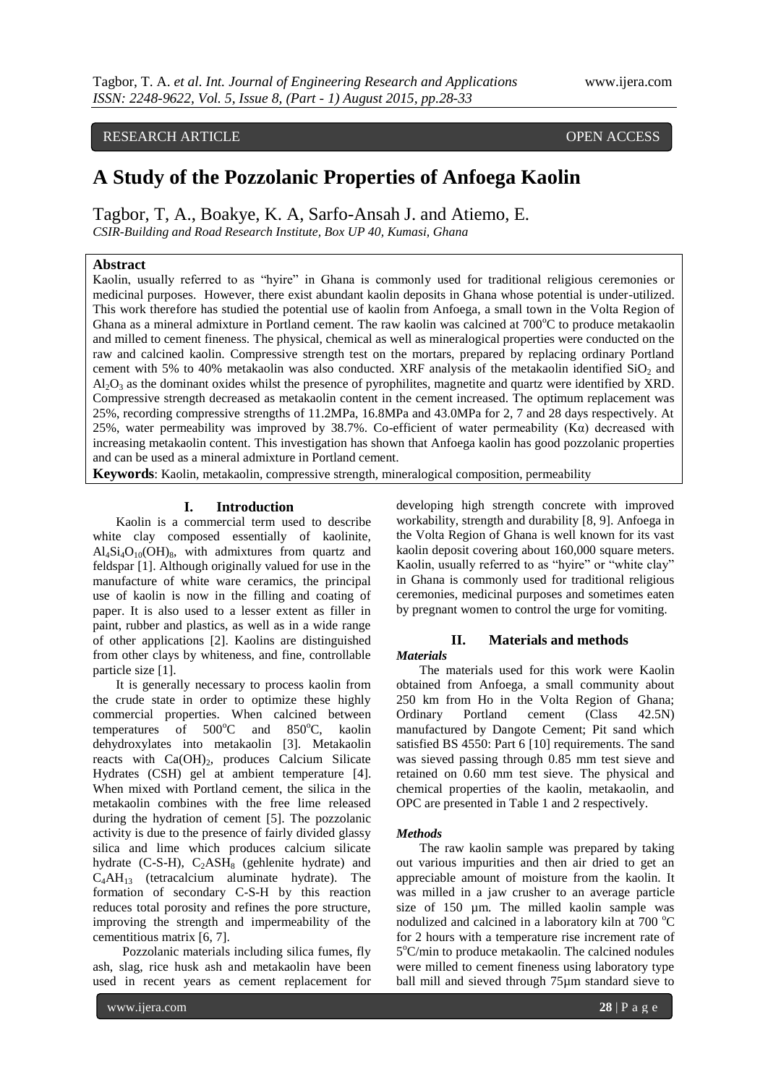# RESEARCH ARTICLE **CONSERVERS** OPEN ACCESS

# **A Study of the Pozzolanic Properties of Anfoega Kaolin**

Tagbor, T, A., Boakye, K. A, Sarfo-Ansah J. and Atiemo, E.

*CSIR-Building and Road Research Institute, Box UP 40, Kumasi, Ghana*

### **Abstract**

Kaolin, usually referred to as "hyire" in Ghana is commonly used for traditional religious ceremonies or medicinal purposes. However, there exist abundant kaolin deposits in Ghana whose potential is under-utilized. This work therefore has studied the potential use of kaolin from Anfoega, a small town in the Volta Region of Ghana as a mineral admixture in Portland cement. The raw kaolin was calcined at  $700^{\circ}$ C to produce metakaolin and milled to cement fineness. The physical, chemical as well as mineralogical properties were conducted on the raw and calcined kaolin. Compressive strength test on the mortars, prepared by replacing ordinary Portland cement with 5% to 40% metakaolin was also conducted. XRF analysis of the metakaolin identified  $SiO<sub>2</sub>$  and  $A<sub>1</sub>Q<sub>3</sub>$  as the dominant oxides whilst the presence of pyrophilites, magnetite and quartz were identified by XRD. Compressive strength decreased as metakaolin content in the cement increased. The optimum replacement was 25%, recording compressive strengths of 11.2MPa, 16.8MPa and 43.0MPa for 2, 7 and 28 days respectively. At 25%, water permeability was improved by 38.7%. Co-efficient of water permeability  $(K\alpha)$  decreased with increasing metakaolin content. This investigation has shown that Anfoega kaolin has good pozzolanic properties and can be used as a mineral admixture in Portland cement.

**Keywords**: Kaolin, metakaolin, compressive strength, mineralogical composition, permeability

#### **I. Introduction**

Kaolin is a commercial term used to describe white clay composed essentially of kaolinite,  $Al_4Si_4O_{10}(OH)_{8}$ , with admixtures from quartz and feldspar [1]. Although originally valued for use in the manufacture of white ware ceramics, the principal use of kaolin is now in the filling and coating of paper. It is also used to a lesser extent as filler in paint, rubber and plastics, as well as in a wide range of other applications [2]. Kaolins are distinguished from other clays by whiteness, and fine, controllable particle size [1].

It is generally necessary to process kaolin from the crude state in order to optimize these highly commercial properties. When calcined between temperatures of  $500^{\circ}$ C and  $850^{\circ}$ C, kaolin dehydroxylates into metakaolin [3]. Metakaolin reacts with  $Ca(OH)_2$ , produces Calcium Silicate Hydrates (CSH) gel at ambient temperature [4]. When mixed with Portland cement, the silica in the metakaolin combines with the free lime released during the hydration of cement [5]. The pozzolanic activity is due to the presence of fairly divided glassy silica and lime which produces calcium silicate hydrate  $(C-S-H)$ ,  $C_2ASH_8$  (gehlenite hydrate) and  $C_4AH_{13}$  (tetracalcium aluminate hydrate). The formation of secondary C-S-H by this reaction reduces total porosity and refines the pore structure, improving the strength and impermeability of the cementitious matrix [6, 7].

 Pozzolanic materials including silica fumes, fly ash, slag, rice husk ash and metakaolin have been used in recent years as cement replacement for developing high strength concrete with improved workability, strength and durability [8, 9]. Anfoega in the Volta Region of Ghana is well known for its vast kaolin deposit covering about 160,000 square meters. Kaolin, usually referred to as "hyire" or "white clay" in Ghana is commonly used for traditional religious ceremonies, medicinal purposes and sometimes eaten by pregnant women to control the urge for vomiting.

## **II. Materials and methods**

*Materials*

The materials used for this work were Kaolin obtained from Anfoega, a small community about 250 km from Ho in the Volta Region of Ghana; Ordinary Portland cement (Class 42.5N) manufactured by Dangote Cement; Pit sand which satisfied BS 4550: Part 6 [10] requirements. The sand was sieved passing through 0.85 mm test sieve and retained on 0.60 mm test sieve. The physical and chemical properties of the kaolin, metakaolin, and OPC are presented in Table 1 and 2 respectively.

#### *Methods*

The raw kaolin sample was prepared by taking out various impurities and then air dried to get an appreciable amount of moisture from the kaolin. It was milled in a jaw crusher to an average particle size of 150 µm. The milled kaolin sample was nodulized and calcined in a laboratory kiln at 700 °C for 2 hours with a temperature rise increment rate of 5°C/min to produce metakaolin. The calcined nodules were milled to cement fineness using laboratory type ball mill and sieved through 75µm standard sieve to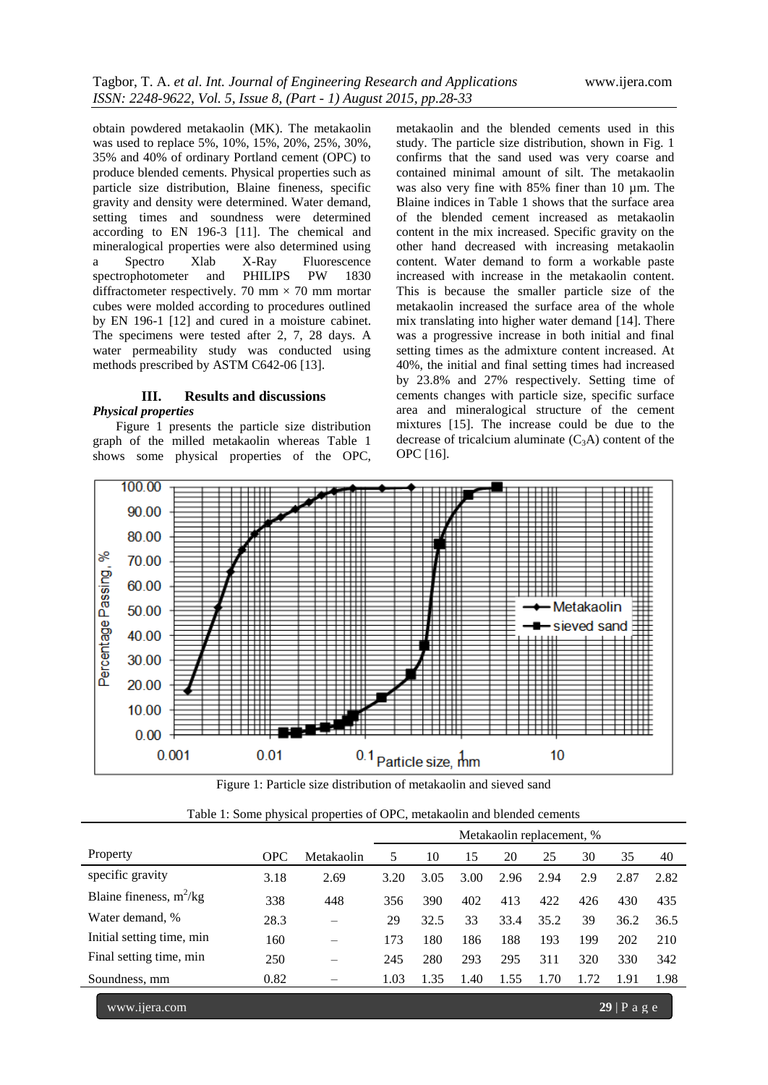obtain powdered metakaolin (MK). The metakaolin was used to replace 5%, 10%, 15%, 20%, 25%, 30%, 35% and 40% of ordinary Portland cement (OPC) to produce blended cements. Physical properties such as particle size distribution, Blaine fineness, specific gravity and density were determined. Water demand, setting times and soundness were determined according to EN 196-3 [11]. The chemical and mineralogical properties were also determined using a Spectro Xlab X-Ray Fluorescence<br>spectrophotometer and PHILIPS PW 1830 spectrophotometer and PHILIPS PW 1830 diffractometer respectively. 70 mm  $\times$  70 mm mortar cubes were molded according to procedures outlined by EN 196-1 [12] and cured in a moisture cabinet. The specimens were tested after 2, 7, 28 days. A water permeability study was conducted using methods prescribed by ASTM C642-06 [13].

#### **III. Results and discussions**

#### *Physical properties*

Figure 1 presents the particle size distribution graph of the milled metakaolin whereas Table 1 shows some physical properties of the OPC,

metakaolin and the blended cements used in this study. The particle size distribution, shown in Fig. 1 confirms that the sand used was very coarse and contained minimal amount of silt. The metakaolin was also very fine with 85% finer than 10  $\mu$ m. The Blaine indices in Table 1 shows that the surface area of the blended cement increased as metakaolin content in the mix increased. Specific gravity on the other hand decreased with increasing metakaolin content. Water demand to form a workable paste increased with increase in the metakaolin content. This is because the smaller particle size of the metakaolin increased the surface area of the whole mix translating into higher water demand [14]. There was a progressive increase in both initial and final setting times as the admixture content increased. At 40%, the initial and final setting times had increased by 23.8% and 27% respectively. Setting time of cements changes with particle size, specific surface area and mineralogical structure of the cement mixtures [15]. The increase could be due to the decrease of tricalcium aluminate  $(C_3A)$  content of the OPC [16].



Figure 1: Particle size distribution of metakaolin and sieved sand

|  |  |  |  |  |  | Table 1: Some physical properties of OPC, metakaolin and blended cements |  |
|--|--|--|--|--|--|--------------------------------------------------------------------------|--|
|--|--|--|--|--|--|--------------------------------------------------------------------------|--|

|                           |            |            | Metakaolin replacement, % |      |      |      |      |      |      |      |
|---------------------------|------------|------------|---------------------------|------|------|------|------|------|------|------|
| Property                  | <b>OPC</b> | Metakaolin | 5                         | 10   | 15   | 20   | 25   | 30   | 35   | 40   |
| specific gravity          | 3.18       | 2.69       | 3.20                      | 3.05 | 3.00 | 2.96 | 2.94 | 2.9  | 2.87 | 2.82 |
| Blaine fineness, $m^2/kg$ | 338        | 448        | 356                       | 390  | 402  | 413  | 422  | 426  | 430  | 435  |
| Water demand, %           | 28.3       | —          | 29                        | 32.5 | 33   | 33.4 | 35.2 | 39   | 36.2 | 36.5 |
| Initial setting time, min | 160        |            | 173                       | 180  | 186  | 188  | 193  | 199  | 202  | 210  |
| Final setting time, min   | 250        | –          | 245                       | 280  | 293  | 295  | 311  | 320  | 330  | 342  |
| Soundness, mm             | 0.82       |            | 1.03                      | 1.35 | 1.40 | 1.55 | 1.70 | 1.72 | 1.91 | 1.98 |

www.ijera.com **29** | P a g e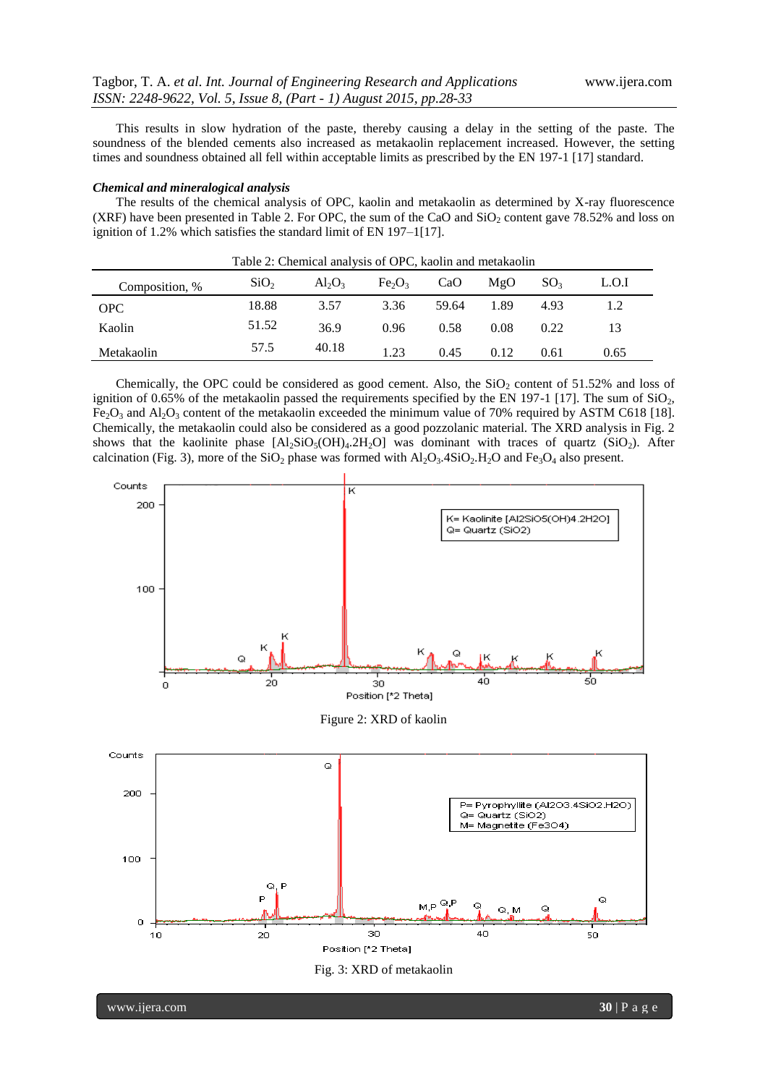This results in slow hydration of the paste, thereby causing a delay in the setting of the paste. The soundness of the blended cements also increased as metakaolin replacement increased. However, the setting times and soundness obtained all fell within acceptable limits as prescribed by the EN 197-1 [17] standard.

#### *Chemical and mineralogical analysis*

The results of the chemical analysis of OPC, kaolin and metakaolin as determined by X-ray fluorescence (XRF) have been presented in Table 2. For OPC, the sum of the CaO and  $SiO<sub>2</sub>$  content gave 78.52% and loss on ignition of 1.2% which satisfies the standard limit of EN 197–1[17].

| Table 2: Chemical analysis of OPC, kaolin and metakaolin |                  |           |                                |       |      |                 |       |  |  |
|----------------------------------------------------------|------------------|-----------|--------------------------------|-------|------|-----------------|-------|--|--|
| Composition, %                                           | SiO <sub>2</sub> | $Al_2O_3$ | Fe <sub>2</sub> O <sub>3</sub> | CaO   | MgO  | SO <sub>3</sub> | L.O.I |  |  |
| OPC.                                                     | 18.88            | 3.57      | 3.36                           | 59.64 | 1.89 | 4.93            |       |  |  |
| Kaolin                                                   | 51.52            | 36.9      | 0.96                           | 0.58  | 0.08 | 0.22            |       |  |  |
| Metakaolin                                               | 57.5             | 40.18     | 1.23                           | 0.45  | 0.12 | 0.61            | 0.65  |  |  |

Chemically, the OPC could be considered as good cement. Also, the  $SiO<sub>2</sub>$  content of 51.52% and loss of ignition of 0.65% of the metakaolin passed the requirements specified by the EN 197-1 [17]. The sum of  $SiO<sub>2</sub>$ ,  $Fe<sub>2</sub>O<sub>3</sub>$  and  $Al<sub>2</sub>O<sub>3</sub>$  content of the metakaolin exceeded the minimum value of 70% required by ASTM C618 [18]. Chemically, the metakaolin could also be considered as a good pozzolanic material. The XRD analysis in Fig. 2 shows that the kaolinite phase  $[Al_2SiO_5(OH)_4.2H_2O]$  was dominant with traces of quartz (SiO<sub>2</sub>). After calcination (Fig. 3), more of the  $SiO_2$  phase was formed with  $Al_2O_3.4SiO_2.H_2O$  and  $Fe_3O_4$  also present.







www.ijera.com **30** | P a g e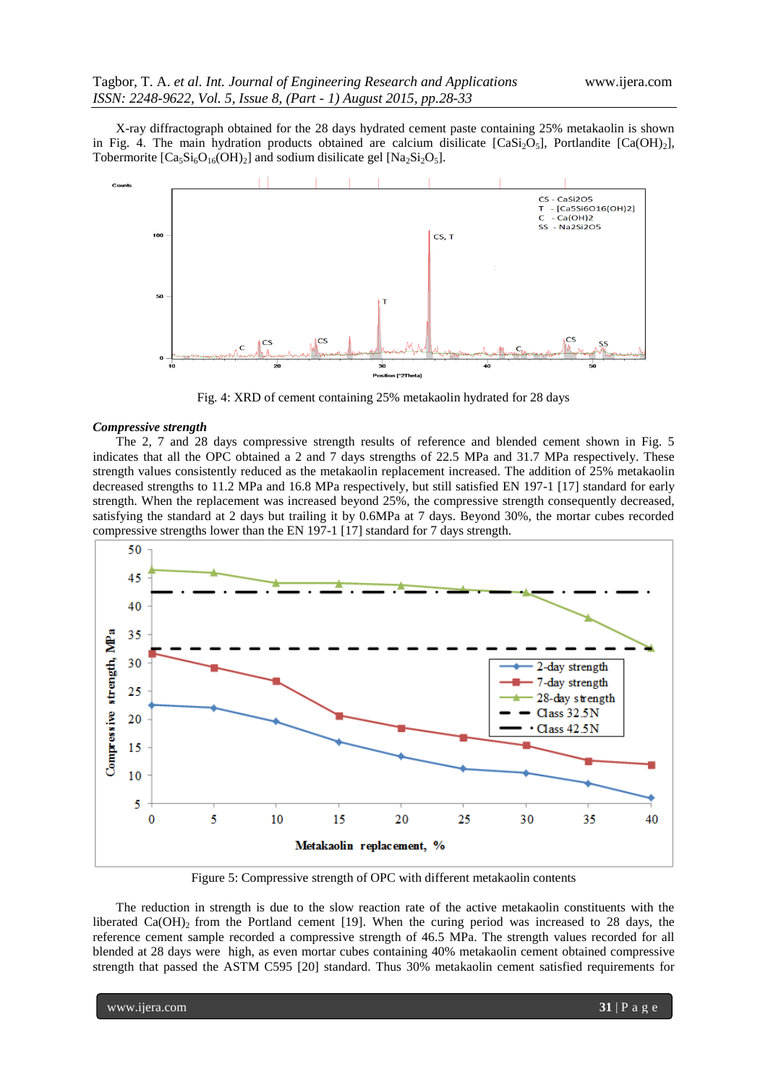X-ray diffractograph obtained for the 28 days hydrated cement paste containing 25% metakaolin is shown in Fig. 4. The main hydration products obtained are calcium disilicate  $[CaSi<sub>2</sub>O<sub>5</sub>]$ , Portlandite  $[Ca(OH)<sub>2</sub>]$ , Tobermorite  $[Ca_5Si_6O_{16}(OH)_2]$  and sodium disilicate gel  $[Na_2Si_2O_5]$ .



Fig. 4: XRD of cement containing 25% metakaolin hydrated for 28 days

#### *Compressive strength*

The 2, 7 and 28 days compressive strength results of reference and blended cement shown in Fig. 5 indicates that all the OPC obtained a 2 and 7 days strengths of 22.5 MPa and 31.7 MPa respectively. These strength values consistently reduced as the metakaolin replacement increased. The addition of 25% metakaolin decreased strengths to 11.2 MPa and 16.8 MPa respectively, but still satisfied EN 197-1 [17] standard for early strength. When the replacement was increased beyond 25%, the compressive strength consequently decreased, satisfying the standard at 2 days but trailing it by 0.6MPa at 7 days. Beyond 30%, the mortar cubes recorded compressive strengths lower than the EN 197-1 [17] standard for 7 days strength.



Figure 5: Compressive strength of OPC with different metakaolin contents

The reduction in strength is due to the slow reaction rate of the active metakaolin constituents with the liberated  $Ca(OH)$ <sub>2</sub> from the Portland cement [19]. When the curing period was increased to 28 days, the reference cement sample recorded a compressive strength of 46.5 MPa. The strength values recorded for all blended at 28 days were high, as even mortar cubes containing 40% metakaolin cement obtained compressive strength that passed the ASTM C595 [20] standard. Thus 30% metakaolin cement satisfied requirements for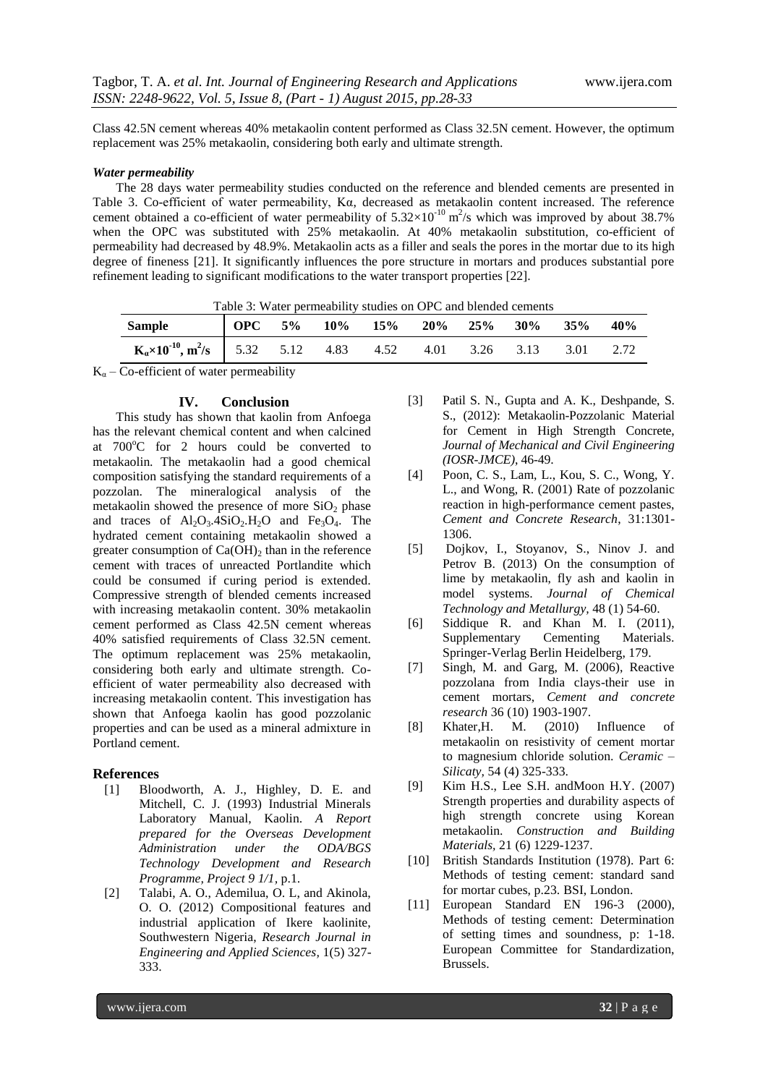Class 42.5N cement whereas 40% metakaolin content performed as Class 32.5N cement. However, the optimum replacement was 25% metakaolin, considering both early and ultimate strength.

#### *Water permeability*

The 28 days water permeability studies conducted on the reference and blended cements are presented in Table 3. Co-efficient of water permeability, Kα, decreased as metakaolin content increased. The reference cement obtained a co-efficient of water permeability of  $5.32 \times 10^{-10}$  m<sup>2</sup>/s which was improved by about 38.7% when the OPC was substituted with 25% metakaolin. At 40% metakaolin substitution, co-efficient of permeability had decreased by 48.9%. Metakaolin acts as a filler and seals the pores in the mortar due to its high degree of fineness [21]. It significantly influences the pore structure in mortars and produces substantial pore refinement leading to significant modifications to the water transport properties [22].

| Table 3: Water permeability studies on OPC and blended cements              |  |  |  |                                         |  |  |  |      |     |  |
|-----------------------------------------------------------------------------|--|--|--|-----------------------------------------|--|--|--|------|-----|--|
| Sample                                                                      |  |  |  | $\sqrt{90}C$ 5% 10% 15% 20% 25% 30% 35% |  |  |  |      | 40% |  |
| $K_{\alpha} \times 10^{-10}$ , $m^2/s$   5.32 5.12 4.83 4.52 4.01 3.26 3.13 |  |  |  |                                         |  |  |  | 3.01 |     |  |
|                                                                             |  |  |  |                                         |  |  |  |      |     |  |

 $K_{\alpha}$  – Co-efficient of water permeability

#### **IV. Conclusion**

This study has shown that kaolin from Anfoega has the relevant chemical content and when calcined at  $700^{\circ}$ C for 2 hours could be converted to metakaolin. The metakaolin had a good chemical composition satisfying the standard requirements of a pozzolan. The mineralogical analysis of the metakaolin showed the presence of more  $SiO<sub>2</sub>$  phase and traces of  $Al_2O_3.4SiO_2.H_2O$  and  $Fe_3O_4$ . The hydrated cement containing metakaolin showed a greater consumption of  $Ca(OH)_2$  than in the reference cement with traces of unreacted Portlandite which could be consumed if curing period is extended. Compressive strength of blended cements increased with increasing metakaolin content. 30% metakaolin cement performed as Class 42.5N cement whereas 40% satisfied requirements of Class 32.5N cement. The optimum replacement was 25% metakaolin, considering both early and ultimate strength. Coefficient of water permeability also decreased with increasing metakaolin content. This investigation has shown that Anfoega kaolin has good pozzolanic properties and can be used as a mineral admixture in Portland cement.

#### **References**

- [1] Bloodworth, A. J., Highley, D. E. and Mitchell, C. J. (1993) Industrial Minerals Laboratory Manual, Kaolin. *A Report prepared for the Overseas Development Administration under the ODA/BGS Technology Development and Research Programme, Project 9 1/1,* p.1.
- [2] Talabi, A. O., Ademilua, O. L, and Akinola, O. O. (2012) Compositional features and industrial application of Ikere kaolinite, Southwestern Nigeria, *Research Journal in Engineering and Applied Sciences,* 1(5) 327- 333.
- [3] Patil S. N., Gupta and A. K., Deshpande, S. S., (2012): Metakaolin-Pozzolanic Material for Cement in High Strength Concrete, *Journal of Mechanical and Civil Engineering (IOSR-JMCE)*, 46-49.
- [4] Poon, C. S., Lam, L., Kou, S. C., Wong, Y. L., and Wong, R. (2001) Rate of pozzolanic reaction in high-performance cement pastes, *Cement and Concrete Research*, 31:1301- 1306.
- [5] Dojkov, I., Stoyanov, S., Ninov J. and Petrov B. (2013) On the consumption of lime by metakaolin, fly ash and kaolin in model systems. *Journal of Chemical Technology and Metallurgy,* 48 (1) 54-60.
- [6] Siddique R. and Khan M. I. (2011), Supplementary Cementing Materials. Springer-Verlag Berlin Heidelberg, 179.
- [7] Singh, M. and Garg, M. (2006), Reactive pozzolana from India clays-their use in cement mortars, *Cement and concrete research* 36 (10) 1903-1907.
- [8] Khater,H. M. (2010) Influence of metakaolin on resistivity of cement mortar to magnesium chloride solution. *Ceramic – Silicaty,* 54 (4) 325-333.
- [9] Kim H.S., Lee S.H. andMoon H.Y. (2007) Strength properties and durability aspects of high strength concrete using Korean metakaolin. *Construction and Building Materials,* 21 (6) 1229-1237.
- [10] British Standards Institution (1978). Part 6: Methods of testing cement: standard sand for mortar cubes, p.23. BSI, London.
- [11] European Standard EN 196-3 (2000), Methods of testing cement: Determination of setting times and soundness, p: 1-18. European Committee for Standardization, Brussels.